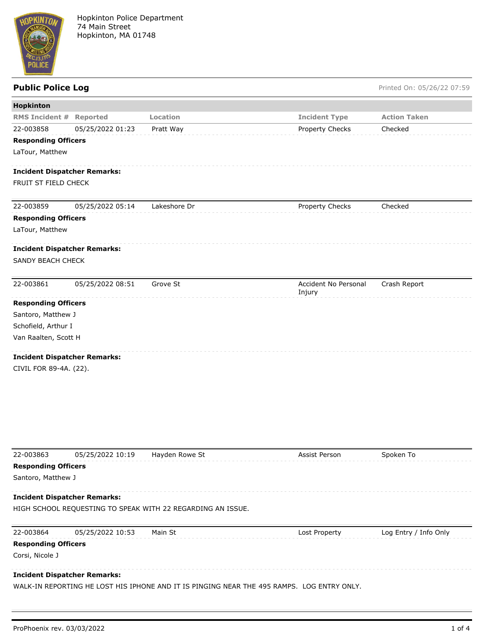

**Public Police Log** Printed On: 05/26/22 07:59

| Hopkinton                                                   |                  |                |                                |                     |
|-------------------------------------------------------------|------------------|----------------|--------------------------------|---------------------|
| <b>RMS Incident # Reported</b>                              |                  | Location       | <b>Incident Type</b>           | <b>Action Taken</b> |
| 22-003858                                                   | 05/25/2022 01:23 | Pratt Way      | Property Checks                | Checked             |
| <b>Responding Officers</b>                                  |                  |                |                                |                     |
| LaTour, Matthew                                             |                  |                |                                |                     |
| <b>Incident Dispatcher Remarks:</b><br>FRUIT ST FIELD CHECK |                  |                |                                |                     |
| 22-003859                                                   | 05/25/2022 05:14 | Lakeshore Dr   | Property Checks                | Checked             |
| <b>Responding Officers</b>                                  |                  |                |                                |                     |
| LaTour, Matthew                                             |                  |                |                                |                     |
| <b>Incident Dispatcher Remarks:</b><br>SANDY BEACH CHECK    |                  |                |                                |                     |
| 22-003861                                                   | 05/25/2022 08:51 | Grove St       | Accident No Personal<br>Injury | Crash Report        |
| <b>Responding Officers</b>                                  |                  |                |                                |                     |
| Santoro, Matthew J                                          |                  |                |                                |                     |
| Schofield, Arthur I                                         |                  |                |                                |                     |
| Van Raalten, Scott H                                        |                  |                |                                |                     |
| <b>Incident Dispatcher Remarks:</b>                         |                  |                |                                |                     |
| CIVIL FOR 89-4A. (22).                                      |                  |                |                                |                     |
|                                                             |                  |                |                                |                     |
| 22-003863                                                   | 05/25/2022 10:19 | Hayden Rowe St | Assist Person                  | Spoken To           |
| <b>Responding Officers</b>                                  |                  |                |                                |                     |
| Santoro, Matthew J                                          |                  |                |                                |                     |
|                                                             |                  |                |                                |                     |

## **Incident Dispatcher Remarks:**

HIGH SCHOOL REQUESTING TO SPEAK WITH 22 REGARDING AN ISSUE.

| 22-003864                           | 05/25/2022 10:53 | Main St | Lost Property | Log Entry / Info Only |
|-------------------------------------|------------------|---------|---------------|-----------------------|
| <b>Responding Officers</b>          |                  |         |               |                       |
| Corsi, Nicole J                     |                  |         |               |                       |
| <b>Incident Dispatcher Remarks:</b> |                  |         |               |                       |

WALK-IN REPORTING HE LOST HIS IPHONE AND IT IS PINGING NEAR THE 495 RAMPS. LOG ENTRY ONLY.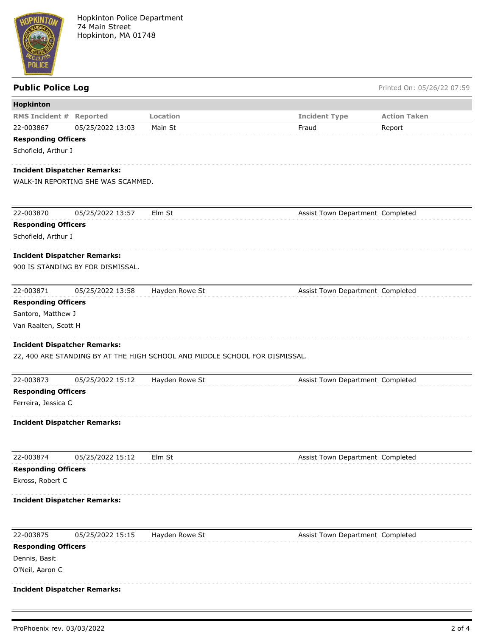

## **Public Police Log** Printed On: 05/26/22 07:59

| <b>Hopkinton</b>                    |                                    |                                                                             |                                  |                     |
|-------------------------------------|------------------------------------|-----------------------------------------------------------------------------|----------------------------------|---------------------|
| <b>RMS Incident #</b>               | <b>Reported</b>                    | Location                                                                    | <b>Incident Type</b>             | <b>Action Taken</b> |
| 22-003867                           | 05/25/2022 13:03                   | Main St                                                                     | Fraud                            | Report              |
| <b>Responding Officers</b>          |                                    |                                                                             |                                  |                     |
| Schofield, Arthur I                 |                                    |                                                                             |                                  |                     |
|                                     |                                    |                                                                             |                                  |                     |
| <b>Incident Dispatcher Remarks:</b> | WALK-IN REPORTING SHE WAS SCAMMED. |                                                                             |                                  |                     |
|                                     |                                    |                                                                             |                                  |                     |
|                                     |                                    |                                                                             |                                  |                     |
| 22-003870                           | 05/25/2022 13:57                   | Elm St                                                                      | Assist Town Department Completed |                     |
| <b>Responding Officers</b>          |                                    |                                                                             |                                  |                     |
| Schofield, Arthur I                 |                                    |                                                                             |                                  |                     |
|                                     |                                    |                                                                             |                                  |                     |
| <b>Incident Dispatcher Remarks:</b> |                                    |                                                                             |                                  |                     |
|                                     | 900 IS STANDING BY FOR DISMISSAL.  |                                                                             |                                  |                     |
|                                     |                                    |                                                                             |                                  |                     |
| 22-003871                           | 05/25/2022 13:58                   | Hayden Rowe St                                                              | Assist Town Department Completed |                     |
| <b>Responding Officers</b>          |                                    |                                                                             |                                  |                     |
| Santoro, Matthew J                  |                                    |                                                                             |                                  |                     |
| Van Raalten, Scott H                |                                    |                                                                             |                                  |                     |
| <b>Incident Dispatcher Remarks:</b> |                                    |                                                                             |                                  |                     |
|                                     |                                    | 22, 400 ARE STANDING BY AT THE HIGH SCHOOL AND MIDDLE SCHOOL FOR DISMISSAL. |                                  |                     |
|                                     |                                    |                                                                             |                                  |                     |
| 22-003873                           | 05/25/2022 15:12                   | Hayden Rowe St                                                              | Assist Town Department Completed |                     |
| <b>Responding Officers</b>          |                                    |                                                                             |                                  |                     |
| Ferreira, Jessica C                 |                                    |                                                                             |                                  |                     |
|                                     |                                    |                                                                             |                                  |                     |
| <b>Incident Dispatcher Remarks:</b> |                                    |                                                                             |                                  |                     |
|                                     |                                    |                                                                             |                                  |                     |
|                                     |                                    |                                                                             |                                  |                     |
| 22-003874                           | 05/25/2022 15:12                   | Elm St                                                                      | Assist Town Department Completed |                     |
| <b>Responding Officers</b>          |                                    |                                                                             |                                  |                     |
| Ekross, Robert C                    |                                    |                                                                             |                                  |                     |
| <b>Incident Dispatcher Remarks:</b> |                                    |                                                                             |                                  |                     |
|                                     |                                    |                                                                             |                                  |                     |
|                                     |                                    |                                                                             |                                  |                     |
| 22-003875                           | 05/25/2022 15:15                   | Hayden Rowe St                                                              | Assist Town Department Completed |                     |
| <b>Responding Officers</b>          |                                    |                                                                             |                                  |                     |
| Dennis, Basit                       |                                    |                                                                             |                                  |                     |
| O'Neil, Aaron C                     |                                    |                                                                             |                                  |                     |
|                                     |                                    |                                                                             |                                  |                     |
| <b>Incident Dispatcher Remarks:</b> |                                    |                                                                             |                                  |                     |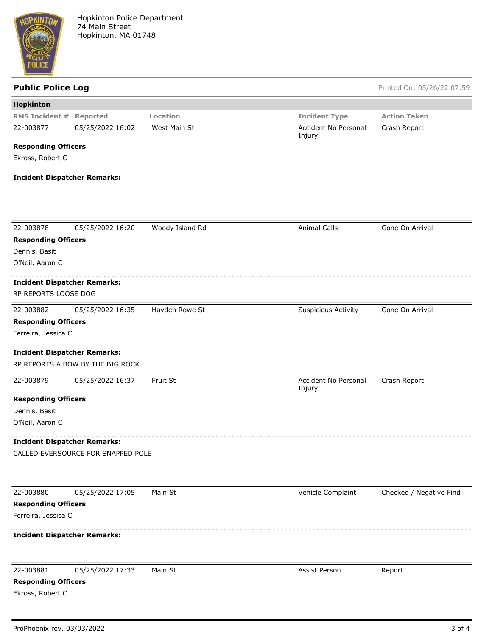

Public Police Log **Public Police Log** Printed On: 05/26/22 07:59

| Hopkinton                                      |                                                                         |                 |                                |                         |
|------------------------------------------------|-------------------------------------------------------------------------|-----------------|--------------------------------|-------------------------|
| <b>RMS Incident # Reported</b>                 |                                                                         | Location        | <b>Incident Type</b>           | <b>Action Taken</b>     |
| 22-003877                                      | 05/25/2022 16:02                                                        | West Main St    | Accident No Personal<br>Injury | Crash Report            |
| <b>Responding Officers</b>                     |                                                                         |                 |                                |                         |
| Ekross, Robert C                               |                                                                         |                 |                                |                         |
|                                                | <b>Incident Dispatcher Remarks:</b>                                     |                 |                                |                         |
|                                                |                                                                         |                 |                                |                         |
| 22-003878                                      | 05/25/2022 16:20                                                        | Woody Island Rd | <b>Animal Calls</b>            | Gone On Arrival         |
| <b>Responding Officers</b>                     |                                                                         |                 |                                |                         |
| Dennis, Basit                                  |                                                                         |                 |                                |                         |
| O'Neil, Aaron C                                |                                                                         |                 |                                |                         |
|                                                | <b>Incident Dispatcher Remarks:</b>                                     |                 |                                |                         |
| RP REPORTS LOOSE DOG                           |                                                                         |                 |                                |                         |
| 22-003882                                      | 05/25/2022 16:35                                                        | Hayden Rowe St  | <b>Suspicious Activity</b>     | Gone On Arrival         |
| <b>Responding Officers</b>                     |                                                                         |                 |                                |                         |
| Ferreira, Jessica C                            |                                                                         |                 |                                |                         |
|                                                |                                                                         |                 |                                |                         |
|                                                | <b>Incident Dispatcher Remarks:</b><br>RP REPORTS A BOW BY THE BIG ROCK |                 |                                |                         |
|                                                |                                                                         |                 |                                |                         |
| 22-003879                                      | 05/25/2022 16:37                                                        | Fruit St        | Accident No Personal<br>Injury | Crash Report            |
| <b>Responding Officers</b>                     |                                                                         |                 |                                |                         |
| Dennis, Basit                                  |                                                                         |                 |                                |                         |
| O'Neil, Aaron C                                |                                                                         |                 |                                |                         |
|                                                | <b>Incident Dispatcher Remarks:</b>                                     |                 |                                |                         |
|                                                | CALLED EVERSOURCE FOR SNAPPED POLE                                      |                 |                                |                         |
|                                                |                                                                         |                 |                                |                         |
| 22-003880                                      | 05/25/2022 17:05                                                        | Main St         | Vehicle Complaint              | Checked / Negative Find |
| <b>Responding Officers</b>                     |                                                                         |                 |                                |                         |
| Ferreira, Jessica C                            |                                                                         |                 |                                |                         |
|                                                | <b>Incident Dispatcher Remarks:</b>                                     |                 |                                |                         |
|                                                |                                                                         |                 |                                |                         |
| 22-003881                                      | 05/25/2022 17:33                                                        | Main St         | Assist Person                  | Report                  |
| <b>Responding Officers</b><br>Ekross, Robert C |                                                                         |                 |                                |                         |
|                                                |                                                                         |                 |                                |                         |